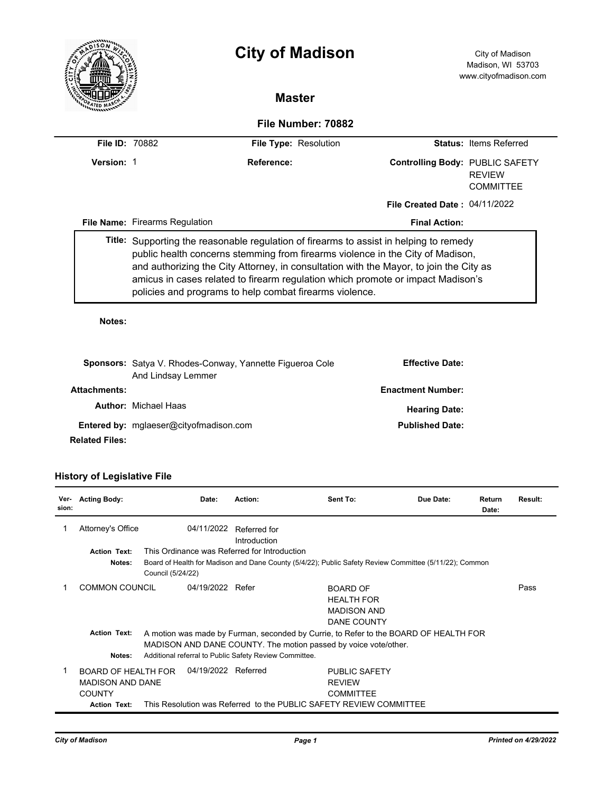|                       |                                                                                                                                                                                                                                                                                                                                                                                                                  | <b>City of Madison</b> |                                      | City of Madison<br>Madison, WI 53703<br>www.cityofmadison.com |  |  |  |  |  |  |  |
|-----------------------|------------------------------------------------------------------------------------------------------------------------------------------------------------------------------------------------------------------------------------------------------------------------------------------------------------------------------------------------------------------------------------------------------------------|------------------------|--------------------------------------|---------------------------------------------------------------|--|--|--|--|--|--|--|
|                       | <b>Master</b>                                                                                                                                                                                                                                                                                                                                                                                                    |                        |                                      |                                                               |  |  |  |  |  |  |  |
| File Number: 70882    |                                                                                                                                                                                                                                                                                                                                                                                                                  |                        |                                      |                                                               |  |  |  |  |  |  |  |
| <b>File ID: 70882</b> |                                                                                                                                                                                                                                                                                                                                                                                                                  | File Type: Resolution  |                                      | <b>Status: Items Referred</b>                                 |  |  |  |  |  |  |  |
| Version: 1            |                                                                                                                                                                                                                                                                                                                                                                                                                  | Reference:             | Controlling Body: PUBLIC SAFETY      | <b>REVIEW</b><br><b>COMMITTEF</b>                             |  |  |  |  |  |  |  |
|                       |                                                                                                                                                                                                                                                                                                                                                                                                                  |                        | <b>File Created Date: 04/11/2022</b> |                                                               |  |  |  |  |  |  |  |
|                       | <b>File Name: Firearms Regulation</b>                                                                                                                                                                                                                                                                                                                                                                            |                        | <b>Final Action:</b>                 |                                                               |  |  |  |  |  |  |  |
|                       | Title: Supporting the reasonable regulation of firearms to assist in helping to remedy<br>public health concerns stemming from firearms violence in the City of Madison,<br>and authorizing the City Attorney, in consultation with the Mayor, to join the City as<br>amicus in cases related to firearm regulation which promote or impact Madison's<br>policies and programs to help combat firearms violence. |                        |                                      |                                                               |  |  |  |  |  |  |  |

# **Sponsors:** Satya V. Rhodes-Conway, Yannette Figueroa Cole And Lindsay Lemmer **Effective Date: Attachments: Enactment Number:**  Author: Michael Haas **Author:** *Michael Haas* **Hearing Date: Hearing Date:** Entered by: mglaeser@cityofmadison.com **Published Date: Published Date:**

**Related Files:** 

## **History of Legislative File**

| Ver-<br>sion: | <b>Acting Body:</b>                                                                           | Date:                                                                                                                                                                                                             | Action:                                                            | Sent To:                                                                  | Due Date: | Return<br>Date: | Result: |  |
|---------------|-----------------------------------------------------------------------------------------------|-------------------------------------------------------------------------------------------------------------------------------------------------------------------------------------------------------------------|--------------------------------------------------------------------|---------------------------------------------------------------------------|-----------|-----------------|---------|--|
|               | Attorney's Office                                                                             | 04/11/2022                                                                                                                                                                                                        | Referred for<br>Introduction                                       |                                                                           |           |                 |         |  |
|               | <b>Action Text:</b>                                                                           | This Ordinance was Referred for Introduction                                                                                                                                                                      |                                                                    |                                                                           |           |                 |         |  |
|               | Notes:                                                                                        | Board of Health for Madison and Dane County (5/4/22); Public Safety Review Committee (5/11/22); Common<br>Council (5/24/22)                                                                                       |                                                                    |                                                                           |           |                 |         |  |
|               | <b>COMMON COUNCIL</b>                                                                         | 04/19/2022 Refer                                                                                                                                                                                                  |                                                                    | <b>BOARD OF</b><br><b>HEALTH FOR</b><br><b>MADISON AND</b><br>DANE COUNTY |           |                 | Pass    |  |
|               | <b>Action Text:</b><br>Notes:                                                                 | A motion was made by Furman, seconded by Currie, to Refer to the BOARD OF HEALTH FOR<br>MADISON AND DANE COUNTY. The motion passed by voice vote/other.<br>Additional referral to Public Safety Review Committee. |                                                                    |                                                                           |           |                 |         |  |
|               | <b>BOARD OF HEALTH FOR</b><br><b>MADISON AND DANE</b><br><b>COUNTY</b><br><b>Action Text:</b> | 04/19/2022 Referred                                                                                                                                                                                               | This Resolution was Referred to the PUBLIC SAFETY REVIEW COMMITTEE | <b>PUBLIC SAFETY</b><br><b>REVIEW</b><br><b>COMMITTEE</b>                 |           |                 |         |  |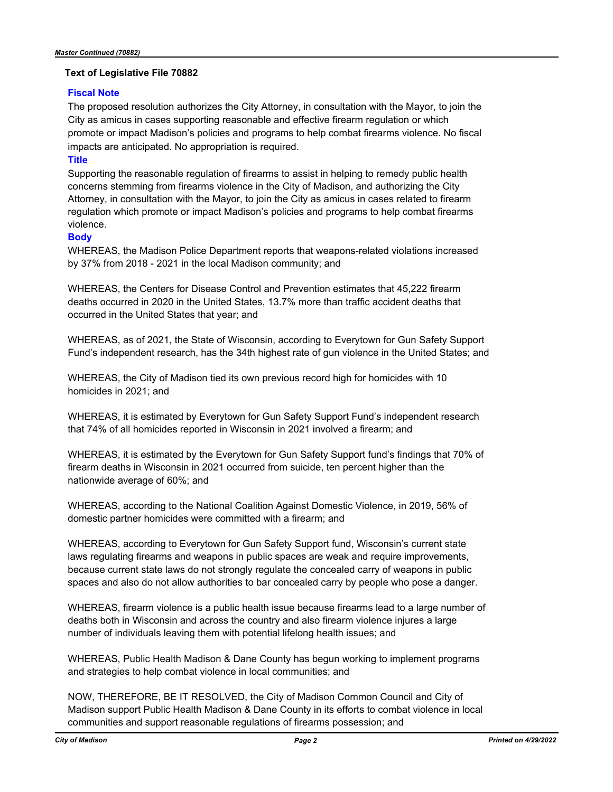#### **Text of Legislative File 70882**

#### **Fiscal Note**

The proposed resolution authorizes the City Attorney, in consultation with the Mayor, to join the City as amicus in cases supporting reasonable and effective firearm regulation or which promote or impact Madison's policies and programs to help combat firearms violence. No fiscal impacts are anticipated. No appropriation is required.

### **Title**

Supporting the reasonable regulation of firearms to assist in helping to remedy public health concerns stemming from firearms violence in the City of Madison, and authorizing the City Attorney, in consultation with the Mayor, to join the City as amicus in cases related to firearm regulation which promote or impact Madison's policies and programs to help combat firearms violence.

#### **Body**

WHEREAS, the Madison Police Department reports that weapons-related violations increased by 37% from 2018 - 2021 in the local Madison community; and

WHEREAS, the Centers for Disease Control and Prevention estimates that 45,222 firearm deaths occurred in 2020 in the United States, 13.7% more than traffic accident deaths that occurred in the United States that year; and

WHEREAS, as of 2021, the State of Wisconsin, according to Everytown for Gun Safety Support Fund's independent research, has the 34th highest rate of gun violence in the United States; and

WHEREAS, the City of Madison tied its own previous record high for homicides with 10 homicides in 2021; and

WHEREAS, it is estimated by Everytown for Gun Safety Support Fund's independent research that 74% of all homicides reported in Wisconsin in 2021 involved a firearm; and

WHEREAS, it is estimated by the Everytown for Gun Safety Support fund's findings that 70% of firearm deaths in Wisconsin in 2021 occurred from suicide, ten percent higher than the nationwide average of 60%; and

WHEREAS, according to the National Coalition Against Domestic Violence, in 2019, 56% of domestic partner homicides were committed with a firearm; and

WHEREAS, according to Everytown for Gun Safety Support fund, Wisconsin's current state laws regulating firearms and weapons in public spaces are weak and require improvements, because current state laws do not strongly regulate the concealed carry of weapons in public spaces and also do not allow authorities to bar concealed carry by people who pose a danger.

WHEREAS, firearm violence is a public health issue because firearms lead to a large number of deaths both in Wisconsin and across the country and also firearm violence injures a large number of individuals leaving them with potential lifelong health issues; and

WHEREAS, Public Health Madison & Dane County has begun working to implement programs and strategies to help combat violence in local communities; and

NOW, THEREFORE, BE IT RESOLVED, the City of Madison Common Council and City of Madison support Public Health Madison & Dane County in its efforts to combat violence in local communities and support reasonable regulations of firearms possession; and